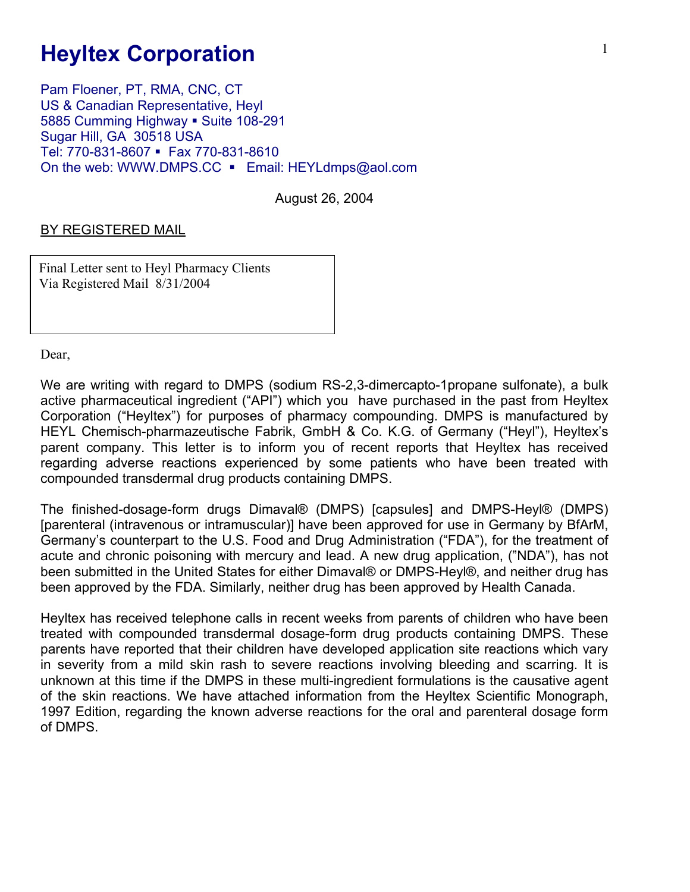## **Heyltex Corporation**

Pam Floener, PT, RMA, CNC, CT US & Canadian Representative, Heyl 5885 Cumming Highway • Suite 108-291 Sugar Hill, GA 30518 USA Tel: 770-831-8607 · Fax 770-831-8610 On the web: WWW.DMPS.CC • Email: HEYLdmps@aol.com

August 26, 2004

## BY REGISTERED MAIL

Final Letter sent to Heyl Pharmacy Clients Via Registered Mail 8/31/2004

Dear,

We are writing with regard to DMPS (sodium RS-2,3-dimercapto-1propane sulfonate), a bulk active pharmaceutical ingredient ("API") which you have purchased in the past from Heyltex Corporation ("Heyltex") for purposes of pharmacy compounding. DMPS is manufactured by HEYL Chemisch-pharmazeutische Fabrik, GmbH & Co. K.G. of Germany ("Heyl"), Heyltex's parent company. This letter is to inform you of recent reports that Heyltex has received regarding adverse reactions experienced by some patients who have been treated with compounded transdermal drug products containing DMPS.

The finished-dosage-form drugs Dimaval® (DMPS) [capsules] and DMPS-Heyl® (DMPS) [parenteral (intravenous or intramuscular)] have been approved for use in Germany by BfArM, Germany's counterpart to the U.S. Food and Drug Administration ("FDA"), for the treatment of acute and chronic poisoning with mercury and lead. A new drug application, ("NDA"), has not been submitted in the United States for either Dimaval® or DMPS-Heyl®, and neither drug has been approved by the FDA. Similarly, neither drug has been approved by Health Canada.

Heyltex has received telephone calls in recent weeks from parents of children who have been treated with compounded transdermal dosage-form drug products containing DMPS. These parents have reported that their children have developed application site reactions which vary in severity from a mild skin rash to severe reactions involving bleeding and scarring. It is unknown at this time if the DMPS in these multi-ingredient formulations is the causative agent of the skin reactions. We have attached information from the Heyltex Scientific Monograph, 1997 Edition, regarding the known adverse reactions for the oral and parenteral dosage form of DMPS.